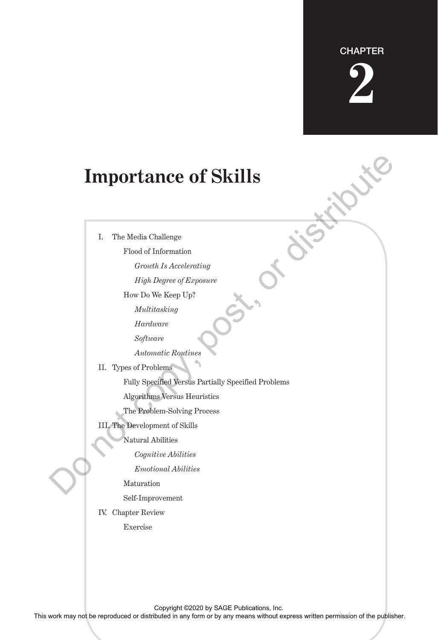# **CHAPTER 2**

# **Importance of Skills** Importance of Skills<br>
The Media Challenge<br>
Flood of Information<br>
Front Lagressetting<br>
High Degree of Exponent<br>
How Do We Keep Up?<br>
Multilasking<br>
Hardware<br>
Endy Specified Problems<br>
Distribute Applement of Skills<br>
The Parol

I. The Media Challenge

Flood of Information

*Growth Is Accelerating*

*High Degree of Exposure*

How Do We Keep Up?

*Multitasking*

*Hardware*

*Software*

*Automatic Routines*

II. Types of Problems

Fully Specified Versus Partially Specified Problems

Algorithms Versus Heuristics

The Problem-Solving Process

III. The Development of Skills

Natural Abilities

*Cognitive Abilities*

*Emotional Abilities*

Maturation

Self-Improvement

IV. Chapter Review

Exercise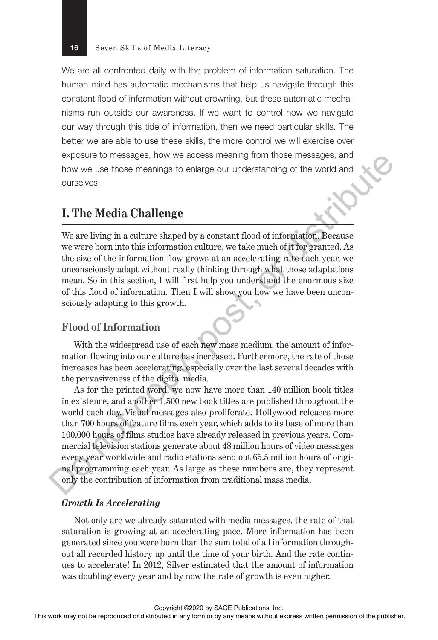We are all confronted daily with the problem of information saturation. The human mind has automatic mechanisms that help us navigate through this constant flood of information without drowning, but these automatic mechanisms run outside our awareness. If we want to control how we navigate our way through this tide of information, then we need particular skills. The better we are able to use these skills, the more control we will exercise over exposure to messages, how we access meaning from those messages, and how we use those meanings to enlarge our understanding of the world and ourselves.

# **I. The Media Challenge**

We are living in a culture shaped by a constant flood of information. Because we were born into this information culture, we take much of it for granted. As the size of the information flow grows at an accelerating rate each year, we unconsciously adapt without really thinking through what those adaptations mean. So in this section, I will first help you understand the enormous size of this flood of information. Then I will show you how we have been unconsciously adapting to this growth.

# **Flood of Information**

With the widespread use of each new mass medium, the amount of information flowing into our culture has increased. Furthermore, the rate of those increases has been accelerating, especially over the last several decades with the pervasiveness of the digital media.

As for the printed word, we now have more than 140 million book titles in existence, and another 1,500 new book titles are published throughout the world each day. Visual messages also proliferate. Hollywood releases more than 700 hours of feature films each year, which adds to its base of more than 100,000 hours of films studios have already released in previous years. Commercial television stations generate about 48 million hours of video messages every year worldwide and radio stations send out 65.5 million hours of original programming each year. As large as these numbers are, they represent only the contribution of information from traditional mass media. exposure to messages, now we access meaning from trose messages, and<br>
now we use those meanings to enlarge our understanding of the world and<br>
ourselves.<br> **I. The Media Challenge**<br>
We are living in a culture shaped by a c

# *Growth Is Accelerating*

Not only are we already saturated with media messages, the rate of that saturation is growing at an accelerating pace. More information has been generated since you were born than the sum total of all information throughout all recorded history up until the time of your birth. And the rate continues to accelerate! In 2012, Silver estimated that the amount of information was doubling every year and by now the rate of growth is even higher.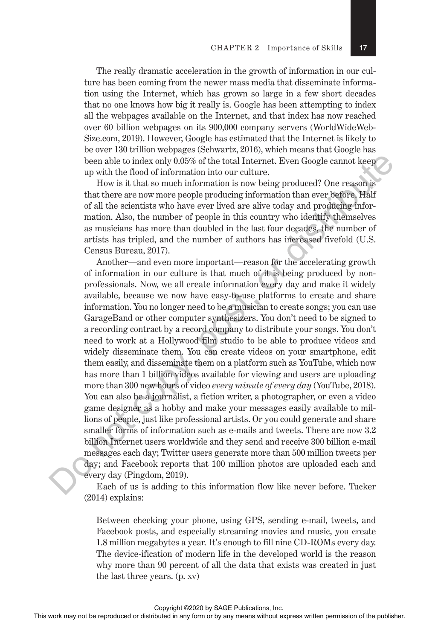The really dramatic acceleration in the growth of information in our culture has been coming from the newer mass media that disseminate information using the Internet, which has grown so large in a few short decades that no one knows how big it really is. Google has been attempting to index all the webpages available on the Internet, and that index has now reached over 60 billion webpages on its 900,000 company servers (WorldWideWeb-Size.com, 2019). However, Google has estimated that the Internet is likely to be over 130 trillion webpages (Schwartz, 2016), which means that Google has been able to index only 0.05% of the total Internet. Even Google cannot keep up with the flood of information into our culture.

How is it that so much information is now being produced? One reason is that there are now more people producing information than ever before. Half of all the scientists who have ever lived are alive today and producing information. Also, the number of people in this country who identify themselves as musicians has more than doubled in the last four decades, the number of artists has tripled, and the number of authors has increased fivefold (U.S. Census Bureau, 2017).

Another—and even more important—reason for the accelerating growth of information in our culture is that much of it is being produced by nonprofessionals. Now, we all create information every day and make it widely available, because we now have easy-to-use platforms to create and share information. You no longer need to be a musician to create songs; you can use GarageBand or other computer synthesizers. You don't need to be signed to a recording contract by a record company to distribute your songs. You don't need to work at a Hollywood film studio to be able to produce videos and widely disseminate them. You can create videos on your smartphone, edit them easily, and disseminate them on a platform such as YouTube, which now has more than 1 billion videos available for viewing and users are uploading more than 300 new hours of video *every minute of every day* (YouTube, 2018). You can also be a journalist, a fiction writer, a photographer, or even a video game designer as a hobby and make your messages easily available to millions of people, just like professional artists. Or you could generate and share smaller forms of information such as e-mails and tweets. There are now 3.2 billion Internet users worldwide and they send and receive 300 billion e-mail messages each day; Twitter users generate more than 500 million tweets per day; and Facebook reports that 100 million photos are uploaded each and every day (Pingdom, 2019). been able to index only 0.05% of the total Internet. Even Google cannot keep<br>up with the flood of information into our culture. However the move is<br>that the model of information into our culture. However it with the flood

Each of us is adding to this information flow like never before. Tucker (2014) explains:

Between checking your phone, using GPS, sending e-mail, tweets, and Facebook posts, and especially streaming movies and music, you create 1.8 million megabytes a year. It's enough to fill nine CD-ROMs every day. The device-ification of modern life in the developed world is the reason why more than 90 percent of all the data that exists was created in just the last three years. (p. xv)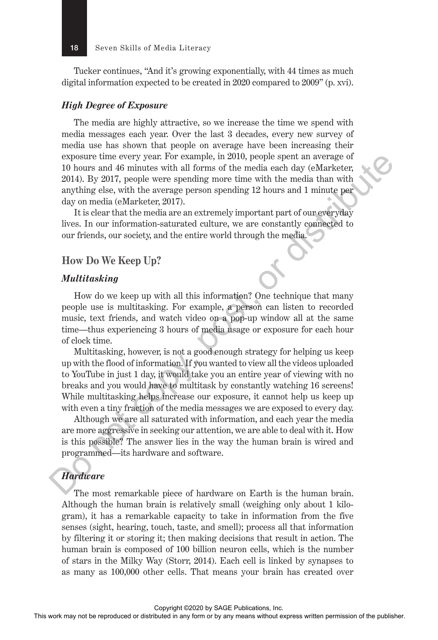Tucker continues, "And it's growing exponentially, with 44 times as much digital information expected to be created in 2020 compared to 2009" (p. xvi).

### *High Degree of Exposure*

The media are highly attractive, so we increase the time we spend with media messages each year. Over the last 3 decades, every new survey of media use has shown that people on average have been increasing their exposure time every year. For example, in 2010, people spent an average of 10 hours and 46 minutes with all forms of the media each day (eMarketer, 2014). By 2017, people were spending more time with the media than with anything else, with the average person spending 12 hours and 1 minute per day on media (eMarketer, 2017).

It is clear that the media are an extremely important part of our everyday lives. In our information-saturated culture, we are constantly connected to our friends, our society, and the entire world through the media.

# **How Do We Keep Up?**

# *Multitasking*

How do we keep up with all this information? One technique that many people use is multitasking. For example, a person can listen to recorded music, text friends, and watch video on a pop-up window all at the same time—thus experiencing 3 hours of media usage or exposure for each hour of clock time.

Multitasking, however, is not a good enough strategy for helping us keep up with the flood of information. If you wanted to view all the videos uploaded to YouTube in just 1 day, it would take you an entire year of viewing with no breaks and you would have to multitask by constantly watching 16 screens! While multitasking helps increase our exposure, it cannot help us keep up with even a tiny fraction of the media messages we are exposed to every day. exposure time every year. For example, in 2010, people spent an average of<br>the media cand day (Marketer, 2014). By 2017, people were spending more time with the media chan with<br>anything eles, with the average person spend

Although we are all saturated with information, and each year the media are more aggressive in seeking our attention, we are able to deal with it. How is this possible? The answer lies in the way the human brain is wired and programmed—its hardware and software.

# *Hardware*

The most remarkable piece of hardware on Earth is the human brain. Although the human brain is relatively small (weighing only about 1 kilogram), it has a remarkable capacity to take in information from the five senses (sight, hearing, touch, taste, and smell); process all that information by filtering it or storing it; then making decisions that result in action. The human brain is composed of 100 billion neuron cells, which is the number of stars in the Milky Way (Storr, 2014). Each cell is linked by synapses to as many as 100,000 other cells. That means your brain has created over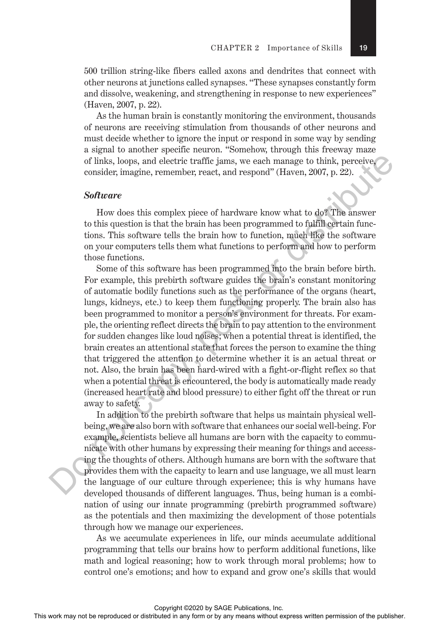500 trillion string-like fibers called axons and dendrites that connect with other neurons at junctions called synapses. "These synapses constantly form and dissolve, weakening, and strengthening in response to new experiences" (Haven, 2007, p. 22).

As the human brain is constantly monitoring the environment, thousands of neurons are receiving stimulation from thousands of other neurons and must decide whether to ignore the input or respond in some way by sending a signal to another specific neuron. "Somehow, through this freeway maze of links, loops, and electric traffic jams, we each manage to think, perceive, consider, imagine, remember, react, and respond" (Haven, 2007, p. 22).

# *Software*

How does this complex piece of hardware know what to do? The answer to this question is that the brain has been programmed to fulfill certain functions. This software tells the brain how to function, much like the software on your computers tells them what functions to perform and how to perform those functions.

Some of this software has been programmed into the brain before birth. For example, this prebirth software guides the brain's constant monitoring of automatic bodily functions such as the performance of the organs (heart, lungs, kidneys, etc.) to keep them functioning properly. The brain also has been programmed to monitor a person's environment for threats. For example, the orienting reflect directs the brain to pay attention to the environment for sudden changes like loud noises; when a potential threat is identified, the brain creates an attentional state that forces the person to examine the thing that triggered the attention to determine whether it is an actual threat or not. Also, the brain has been hard-wired with a fight-or-flight reflex so that when a potential threat is encountered, the body is automatically made ready (increased heart rate and blood pressure) to either fight off the threat or run away to safety. of links, loops, and electric traffic jams, we each manage to think, perceives<br>consider, imagine, remember, react, and respond" (Haven, 2007, p. 22).<br> **Software**<br>
How does this complex piece of hardware know what to do<sup>2</sup>

In addition to the prebirth software that helps us maintain physical wellbeing, we are also born with software that enhances our social well-being. For example, scientists believe all humans are born with the capacity to communicate with other humans by expressing their meaning for things and accessing the thoughts of others. Although humans are born with the software that provides them with the capacity to learn and use language, we all must learn the language of our culture through experience; this is why humans have developed thousands of different languages. Thus, being human is a combination of using our innate programming (prebirth programmed software) as the potentials and then maximizing the development of those potentials through how we manage our experiences.

As we accumulate experiences in life, our minds accumulate additional programming that tells our brains how to perform additional functions, like math and logical reasoning; how to work through moral problems; how to control one's emotions; and how to expand and grow one's skills that would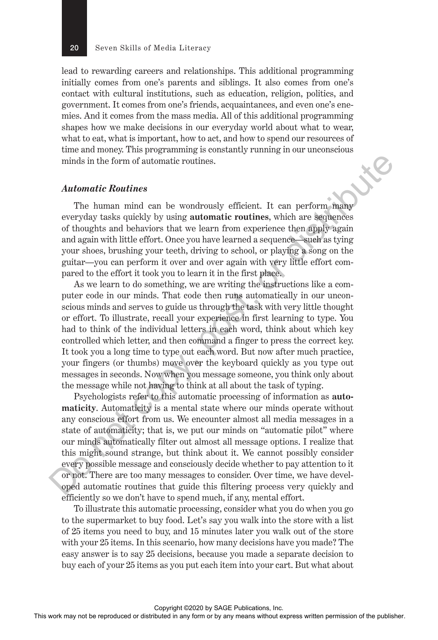lead to rewarding careers and relationships. This additional programming initially comes from one's parents and siblings. It also comes from one's contact with cultural institutions, such as education, religion, politics, and government. It comes from one's friends, acquaintances, and even one's enemies. And it comes from the mass media. All of this additional programming shapes how we make decisions in our everyday world about what to wear, what to eat, what is important, how to act, and how to spend our resources of time and money. This programming is constantly running in our unconscious minds in the form of automatic routines.

# *Automatic Routines*

The human mind can be wondrously efficient. It can perform many everyday tasks quickly by using **automatic routines**, which are sequences of thoughts and behaviors that we learn from experience then apply again and again with little effort. Once you have learned a sequence—such as tying your shoes, brushing your teeth, driving to school, or playing a song on the guitar—you can perform it over and over again with very little effort compared to the effort it took you to learn it in the first place.

As we learn to do something, we are writing the instructions like a computer code in our minds. That code then runs automatically in our unconscious minds and serves to guide us through the task with very little thought or effort. To illustrate, recall your experience in first learning to type. You had to think of the individual letters in each word, think about which key controlled which letter, and then command a finger to press the correct key. It took you a long time to type out each word. But now after much practice, your fingers (or thumbs) move over the keyboard quickly as you type out messages in seconds. Now when you message someone, you think only about the message while not having to think at all about the task of typing. minds in the form of automatic routines.<br> **Automatic Routines**<br>
The human mind can be wondrously efficient. It can perform, many<br>
everyday tasks quickly by using **automatic routines**, which are sequences<br>
of thoughts and

Psychologists refer to this automatic processing of information as **automaticity**. Automaticity is a mental state where our minds operate without any conscious effort from us. We encounter almost all media messages in a state of automaticity; that is, we put our minds on "automatic pilot" where our minds automatically filter out almost all message options. I realize that this might sound strange, but think about it. We cannot possibly consider every possible message and consciously decide whether to pay attention to it or not. There are too many messages to consider. Over time, we have developed automatic routines that guide this filtering process very quickly and efficiently so we don't have to spend much, if any, mental effort.

To illustrate this automatic processing, consider what you do when you go to the supermarket to buy food. Let's say you walk into the store with a list of 25 items you need to buy, and 15 minutes later you walk out of the store with your 25 items. In this scenario, how many decisions have you made? The easy answer is to say 25 decisions, because you made a separate decision to buy each of your 25 items as you put each item into your cart. But what about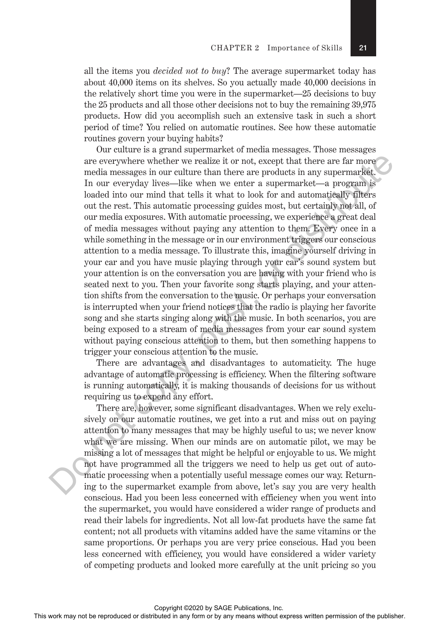all the items you *decided not to buy*? The average supermarket today has about 40,000 items on its shelves. So you actually made 40,000 decisions in the relatively short time you were in the supermarket—25 decisions to buy the 25 products and all those other decisions not to buy the remaining 39,975 products. How did you accomplish such an extensive task in such a short period of time? You relied on automatic routines. See how these automatic routines govern your buying habits?

Our culture is a grand supermarket of media messages. Those messages are everywhere whether we realize it or not, except that there are far more media messages in our culture than there are products in any supermarket. In our everyday lives—like when we enter a supermarket—a program is loaded into our mind that tells it what to look for and automatically filters out the rest. This automatic processing guides most, but certainly not all, of our media exposures. With automatic processing, we experience a great deal of media messages without paying any attention to them. Every once in a while something in the message or in our environment triggers our conscious attention to a media message. To illustrate this, imagine yourself driving in your car and you have music playing through your car's sound system but your attention is on the conversation you are having with your friend who is seated next to you. Then your favorite song starts playing, and your attention shifts from the conversation to the music. Or perhaps your conversation is interrupted when your friend notices that the radio is playing her favorite song and she starts singing along with the music. In both scenarios, you are being exposed to a stream of media messages from your car sound system without paying conscious attention to them, but then something happens to trigger your conscious attention to the music. are everywhere whether we realize it or not, except that there are far more modits in samples in our every<br>day if our every day is more than there are products in any supermark<br>et in due to rearbly in the control of the r

There are advantages and disadvantages to automaticity. The huge advantage of automatic processing is efficiency. When the filtering software is running automatically, it is making thousands of decisions for us without requiring us to expend any effort.

There are, however, some significant disadvantages. When we rely exclusively on our automatic routines, we get into a rut and miss out on paying attention to many messages that may be highly useful to us; we never know what we are missing. When our minds are on automatic pilot, we may be missing a lot of messages that might be helpful or enjoyable to us. We might not have programmed all the triggers we need to help us get out of automatic processing when a potentially useful message comes our way. Returning to the supermarket example from above, let's say you are very health conscious. Had you been less concerned with efficiency when you went into the supermarket, you would have considered a wider range of products and read their labels for ingredients. Not all low-fat products have the same fat content; not all products with vitamins added have the same vitamins or the same proportions. Or perhaps you are very price conscious. Had you been less concerned with efficiency, you would have considered a wider variety of competing products and looked more carefully at the unit pricing so you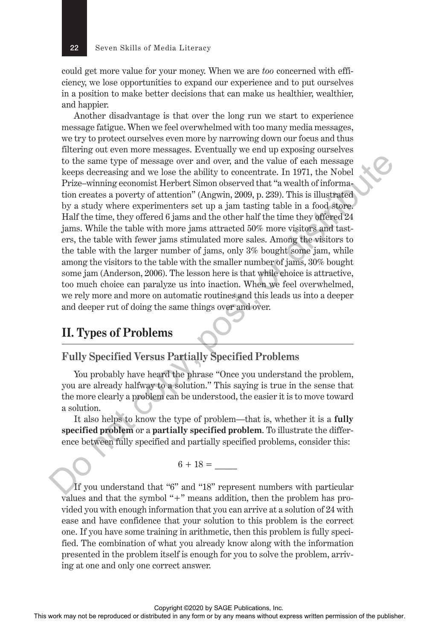could get more value for your money. When we are *too* concerned with efficiency, we lose opportunities to expand our experience and to put ourselves in a position to make better decisions that can make us healthier, wealthier, and happier.

Another disadvantage is that over the long run we start to experience message fatigue. When we feel overwhelmed with too many media messages, we try to protect ourselves even more by narrowing down our focus and thus filtering out even more messages. Eventually we end up exposing ourselves to the same type of message over and over, and the value of each message keeps decreasing and we lose the ability to concentrate. In 1971, the Nobel Prize–winning economist Herbert Simon observed that "a wealth of information creates a poverty of attention" (Angwin, 2009, p. 239). This is illustrated by a study where experimenters set up a jam tasting table in a food store. Half the time, they offered 6 jams and the other half the time they offered 24 jams. While the table with more jams attracted 50% more visitors and tasters, the table with fewer jams stimulated more sales. Among the visitors to the table with the larger number of jams, only 3% bought some jam, while among the visitors to the table with the smaller number of jams, 30% bought some jam (Anderson, 2006). The lesson here is that while choice is attractive, too much choice can paralyze us into inaction. When we feel overwhelmed, we rely more and more on automatic routines and this leads us into a deeper and deeper rut of doing the same things over and over. to the same type of message over and over, and the value of each message Nevergo decreasing and we lose the ability to concentrate. In 1971, the Nobol Note (was the ability of the simple time or each sole of the ability o

# **II. Types of Problems**

# **Fully Specified Versus Partially Specified Problems**

You probably have heard the phrase "Once you understand the problem, you are already halfway to a solution." This saying is true in the sense that the more clearly a problem can be understood, the easier it is to move toward a solution.

It also helps to know the type of problem—that is, whether it is a **fully specified problem** or a **partially specified problem**. To illustrate the difference between fully specified and partially specified problems, consider this:

 $6 + 18 =$ 

If you understand that "6" and "18" represent numbers with particular values and that the symbol "+" means addition, then the problem has provided you with enough information that you can arrive at a solution of 24 with ease and have confidence that your solution to this problem is the correct one. If you have some training in arithmetic, then this problem is fully specified. The combination of what you already know along with the information presented in the problem itself is enough for you to solve the problem, arriving at one and only one correct answer.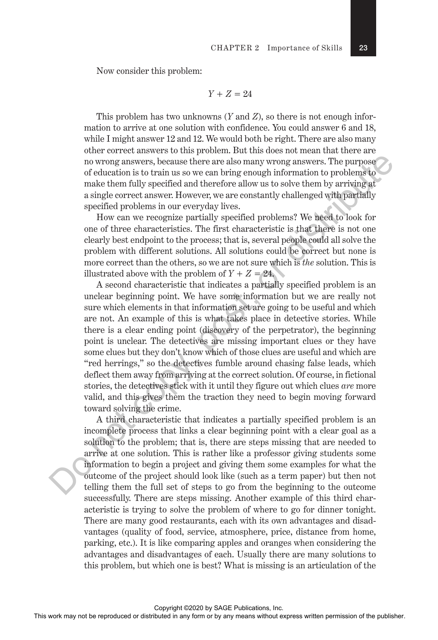Now consider this problem:

$$
Y+Z=24
$$

This problem has two unknowns (*Y* and *Z*), so there is not enough information to arrive at one solution with confidence. You could answer 6 and 18, while I might answer 12 and 12. We would both be right. There are also many other correct answers to this problem. But this does not mean that there are no wrong answers, because there are also many wrong answers. The purpose of education is to train us so we can bring enough information to problems to make them fully specified and therefore allow us to solve them by arriving at a single correct answer. However, we are constantly challenged with partially specified problems in our everyday lives.

How can we recognize partially specified problems? We need to look for one of three characteristics. The first characteristic is that there is not one clearly best endpoint to the process; that is, several people could all solve the problem with different solutions. All solutions could be correct but none is more correct than the others, so we are not sure which is *the* solution. This is illustrated above with the problem of  $Y + Z = 24$ .

A second characteristic that indicates a partially specified problem is an unclear beginning point. We have some information but we are really not sure which elements in that information set are going to be useful and which are not. An example of this is what takes place in detective stories. While there is a clear ending point (discovery of the perpetrator), the beginning point is unclear. The detectives are missing important clues or they have some clues but they don't know which of those clues are useful and which are "red herrings," so the detectives fumble around chasing false leads, which deflect them away from arriving at the correct solution. Of course, in fictional stories, the detectives stick with it until they figure out which clues *are* more valid, and this gives them the traction they need to begin moving forward toward solving the crime. no wrong answers, because there are also many wrong answers. The purpose of education is to train as so we can bring enough information to problems for an<br>ake them fully specified and therefore allow us to solve them by a

A third characteristic that indicates a partially specified problem is an incomplete process that links a clear beginning point with a clear goal as a solution to the problem; that is, there are steps missing that are needed to arrive at one solution. This is rather like a professor giving students some information to begin a project and giving them some examples for what the outcome of the project should look like (such as a term paper) but then not telling them the full set of steps to go from the beginning to the outcome successfully. There are steps missing. Another example of this third characteristic is trying to solve the problem of where to go for dinner tonight. There are many good restaurants, each with its own advantages and disadvantages (quality of food, service, atmosphere, price, distance from home, parking, etc.). It is like comparing apples and oranges when considering the advantages and disadvantages of each. Usually there are many solutions to this problem, but which one is best? What is missing is an articulation of the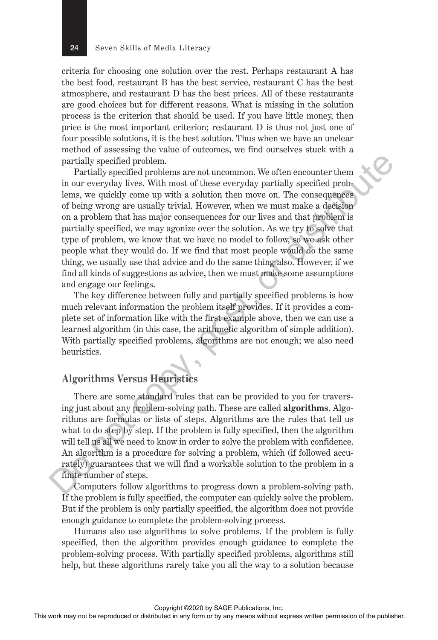criteria for choosing one solution over the rest. Perhaps restaurant A has the best food, restaurant B has the best service, restaurant C has the best atmosphere, and restaurant D has the best prices. All of these restaurants are good choices but for different reasons. What is missing in the solution process is the criterion that should be used. If you have little money, then price is the most important criterion; restaurant D is thus not just one of four possible solutions, it is the best solution. Thus when we have an unclear method of assessing the value of outcomes, we find ourselves stuck with a partially specified problem.

Partially specified problems are not uncommon. We often encounter them in our everyday lives. With most of these everyday partially specified problems, we quickly come up with a solution then move on. The consequences of being wrong are usually trivial. However, when we must make a decision on a problem that has major consequences for our lives and that problem is partially specified, we may agonize over the solution. As we try to solve that type of problem, we know that we have no model to follow, so we ask other people what they would do. If we find that most people would do the same thing, we usually use that advice and do the same thing also. However, if we find all kinds of suggestions as advice, then we must make some assumptions and engage our feelings. partially specified problem. The most more of these everyday partially specified problem in our everyday lives. With most of these everyday partially specified problem, we unicly come up with a solution them move on. The

The key difference between fully and partially specified problems is how much relevant information the problem itself provides. If it provides a complete set of information like with the first example above, then we can use a learned algorithm (in this case, the arithmetic algorithm of simple addition). With partially specified problems, algorithms are not enough; we also need heuristics.

# **Algorithms Versus Heuristics**

There are some standard rules that can be provided to you for traversing just about any problem-solving path. These are called **algorithms**. Algorithms are formulas or lists of steps. Algorithms are the rules that tell us what to do step by step. If the problem is fully specified, then the algorithm will tell us all we need to know in order to solve the problem with confidence. An algorithm is a procedure for solving a problem, which (if followed accurately) guarantees that we will find a workable solution to the problem in a finite number of steps.

Computers follow algorithms to progress down a problem-solving path. If the problem is fully specified, the computer can quickly solve the problem. But if the problem is only partially specified, the algorithm does not provide enough guidance to complete the problem-solving process.

Humans also use algorithms to solve problems. If the problem is fully specified, then the algorithm provides enough guidance to complete the problem-solving process. With partially specified problems, algorithms still help, but these algorithms rarely take you all the way to a solution because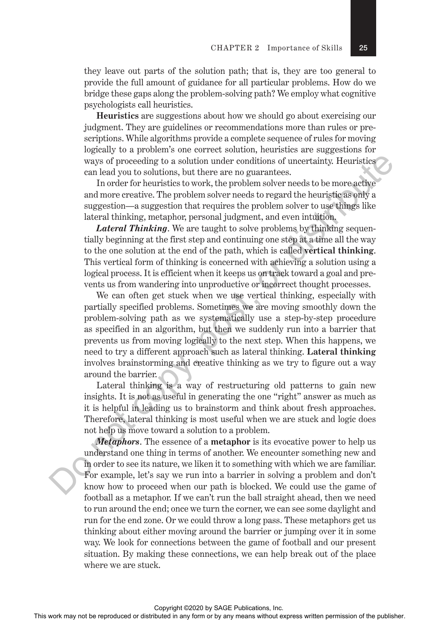they leave out parts of the solution path; that is, they are too general to provide the full amount of guidance for all particular problems. How do we bridge these gaps along the problem-solving path? We employ what cognitive psychologists call heuristics.

**Heuristics** are suggestions about how we should go about exercising our judgment. They are guidelines or recommendations more than rules or prescriptions. While algorithms provide a complete sequence of rules for moving logically to a problem's one correct solution, heuristics are suggestions for ways of proceeding to a solution under conditions of uncertainty. Heuristics can lead you to solutions, but there are no guarantees.

In order for heuristics to work, the problem solver needs to be more active and more creative. The problem solver needs to regard the heuristic as only a suggestion—a suggestion that requires the problem solver to use things like lateral thinking, metaphor, personal judgment, and even intuition.

*Lateral Thinking*. We are taught to solve problems by thinking sequentially beginning at the first step and continuing one step at a time all the way to the one solution at the end of the path, which is called **vertical thinking**. This vertical form of thinking is concerned with achieving a solution using a logical process. It is efficient when it keeps us on track toward a goal and prevents us from wandering into unproductive or incorrect thought processes.

We can often get stuck when we use vertical thinking, especially with partially specified problems. Sometimes we are moving smoothly down the problem-solving path as we systematically use a step-by-step procedure as specified in an algorithm, but then we suddenly run into a barrier that prevents us from moving logically to the next step. When this happens, we need to try a different approach such as lateral thinking. **Lateral thinking** involves brainstorming and creative thinking as we try to figure out a way around the barrier. ways of proceeding to a solution under conditions of uncertainty. Heuristics can lead you to solutions, but there are no guarantees.<br>In order for heuristics to work, the problem solver needs to be more accitye and more cr

Lateral thinking is a way of restructuring old patterns to gain new insights. It is not as useful in generating the one "right" answer as much as it is helpful in leading us to brainstorm and think about fresh approaches. Therefore, lateral thinking is most useful when we are stuck and logic does not help us move toward a solution to a problem.

*Metaphors*. The essence of a **metaphor** is its evocative power to help us understand one thing in terms of another. We encounter something new and in order to see its nature, we liken it to something with which we are familiar. For example, let's say we run into a barrier in solving a problem and don't know how to proceed when our path is blocked. We could use the game of football as a metaphor. If we can't run the ball straight ahead, then we need to run around the end; once we turn the corner, we can see some daylight and run for the end zone. Or we could throw a long pass. These metaphors get us thinking about either moving around the barrier or jumping over it in some way. We look for connections between the game of football and our present situation. By making these connections, we can help break out of the place where we are stuck.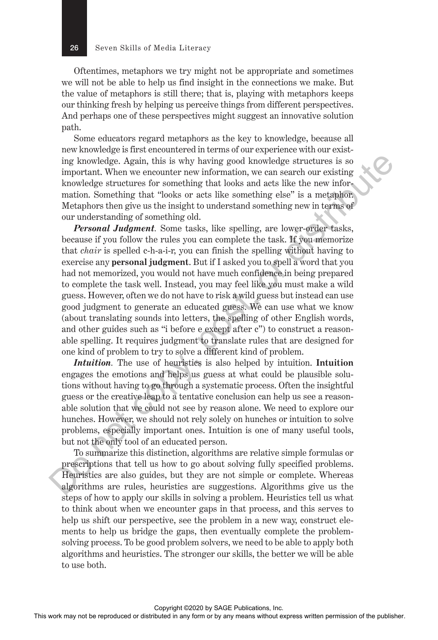Oftentimes, metaphors we try might not be appropriate and sometimes we will not be able to help us find insight in the connections we make. But the value of metaphors is still there; that is, playing with metaphors keeps our thinking fresh by helping us perceive things from different perspectives. And perhaps one of these perspectives might suggest an innovative solution path.

Some educators regard metaphors as the key to knowledge, because all new knowledge is first encountered in terms of our experience with our existing knowledge. Again, this is why having good knowledge structures is so important. When we encounter new information, we can search our existing knowledge structures for something that looks and acts like the new information. Something that "looks or acts like something else" is a metaphor. Metaphors then give us the insight to understand something new in terms of our understanding of something old.

*Personal Judgment.* Some tasks, like spelling, are lower-order tasks, because if you follow the rules you can complete the task. If you memorize that *chair* is spelled c-h-a-i-r, you can finish the spelling without having to exercise any **personal judgment**. But if I asked you to spell a word that you had not memorized, you would not have much confidence in being prepared to complete the task well. Instead, you may feel like you must make a wild guess. However, often we do not have to risk a wild guess but instead can use good judgment to generate an educated guess. We can use what we know (about translating sounds into letters, the spelling of other English words, and other guides such as "i before e except after c") to construct a reasonable spelling. It requires judgment to translate rules that are designed for one kind of problem to try to solve a different kind of problem. ing knowledge. Again, this is why having good knowledge structures is so<br>mportant. When we encounter new information, we can scare<br>to or something that looks and acts like the new information. Something that "oloks and ac

*Intuition.* The use of heuristics is also helped by intuition. **Intuition** engages the emotions and helps us guess at what could be plausible solutions without having to go through a systematic process. Often the insightful guess or the creative leap to a tentative conclusion can help us see a reasonable solution that we could not see by reason alone. We need to explore our hunches. However, we should not rely solely on hunches or intuition to solve problems, especially important ones. Intuition is one of many useful tools, but not the only tool of an educated person.

To summarize this distinction, algorithms are relative simple formulas or prescriptions that tell us how to go about solving fully specified problems. Heuristics are also guides, but they are not simple or complete. Whereas algorithms are rules, heuristics are suggestions. Algorithms give us the steps of how to apply our skills in solving a problem. Heuristics tell us what to think about when we encounter gaps in that process, and this serves to help us shift our perspective, see the problem in a new way, construct elements to help us bridge the gaps, then eventually complete the problemsolving process. To be good problem solvers, we need to be able to apply both algorithms and heuristics. The stronger our skills, the better we will be able to use both.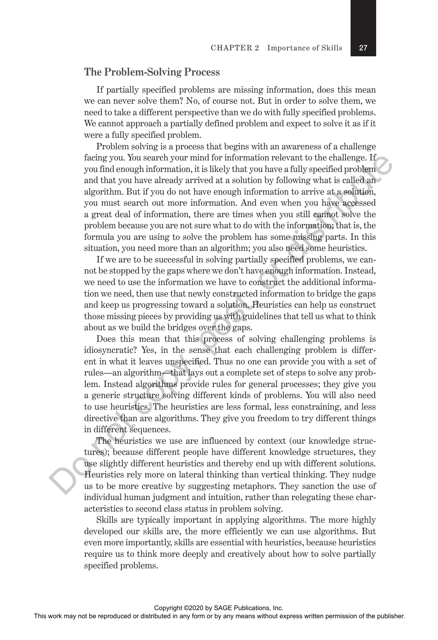# **The Problem-Solving Process**

If partially specified problems are missing information, does this mean we can never solve them? No, of course not. But in order to solve them, we need to take a different perspective than we do with fully specified problems. We cannot approach a partially defined problem and expect to solve it as if it were a fully specified problem.

Problem solving is a process that begins with an awareness of a challenge facing you. You search your mind for information relevant to the challenge. If you find enough information, it is likely that you have a fully specified problem and that you have already arrived at a solution by following what is called an algorithm. But if you do not have enough information to arrive at a solution, you must search out more information. And even when you have accessed a great deal of information, there are times when you still cannot solve the problem because you are not sure what to do with the information; that is, the formula you are using to solve the problem has some missing parts. In this situation, you need more than an algorithm; you also need some heuristics. fraing you. You scare<br>they uur mind for information, it is likely that you have a fully specified problem<br>you find enough information, it is likely that you have a fully specified problem<br>and that you have already arrived

If we are to be successful in solving partially specified problems, we cannot be stopped by the gaps where we don't have enough information. Instead, we need to use the information we have to construct the additional information we need, then use that newly constructed information to bridge the gaps and keep us progressing toward a solution. Heuristics can help us construct those missing pieces by providing us with guidelines that tell us what to think about as we build the bridges over the gaps.

Does this mean that this process of solving challenging problems is idiosyncratic? Yes, in the sense that each challenging problem is different in what it leaves unspecified. Thus no one can provide you with a set of rules—an algorithm—that lays out a complete set of steps to solve any problem. Instead algorithms provide rules for general processes; they give you a generic structure solving different kinds of problems. You will also need to use heuristics. The heuristics are less formal, less constraining, and less directive than are algorithms. They give you freedom to try different things in different sequences.

The heuristics we use are influenced by context (our knowledge structures); because different people have different knowledge structures, they use slightly different heuristics and thereby end up with different solutions. Heuristics rely more on lateral thinking than vertical thinking. They nudge us to be more creative by suggesting metaphors. They sanction the use of individual human judgment and intuition, rather than relegating these characteristics to second class status in problem solving.

Skills are typically important in applying algorithms. The more highly developed our skills are, the more efficiently we can use algorithms. But even more importantly, skills are essential with heuristics, because heuristics require us to think more deeply and creatively about how to solve partially specified problems.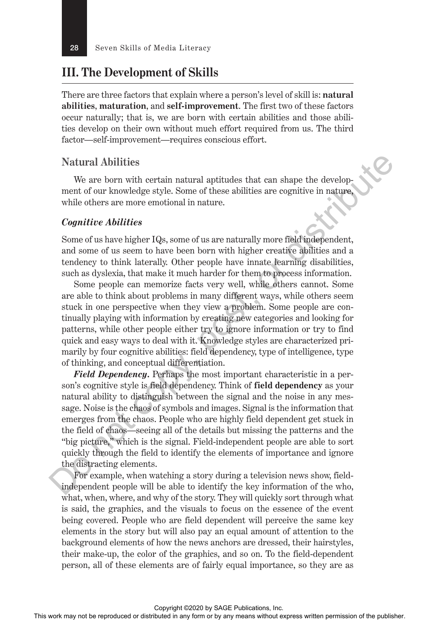# **III. The Development of Skills**

There are three factors that explain where a person's level of skill is: **natural abilities**, **maturation**, and **self-improvement**. The first two of these factors occur naturally; that is, we are born with certain abilities and those abilities develop on their own without much effort required from us. The third factor—self-improvement—requires conscious effort.

# **Natural Abilities**

We are born with certain natural aptitudes that can shape the development of our knowledge style. Some of these abilities are cognitive in nature, while others are more emotional in nature.

# *Cognitive Abilities*

Some of us have higher IQs, some of us are naturally more field independent, and some of us seem to have been born with higher creative abilities and a tendency to think laterally. Other people have innate learning disabilities, such as dyslexia, that make it much harder for them to process information.

Some people can memorize facts very well, while others cannot. Some are able to think about problems in many different ways, while others seem stuck in one perspective when they view a problem. Some people are continually playing with information by creating new categories and looking for patterns, while other people either try to ignore information or try to find quick and easy ways to deal with it. Knowledge styles are characterized primarily by four cognitive abilities: field dependency, type of intelligence, type of thinking, and conceptual differentiation.

*Field Dependency***.** Perhaps the most important characteristic in a person's cognitive style is field dependency. Think of **field dependency** as your natural ability to distinguish between the signal and the noise in any message. Noise is the chaos of symbols and images. Signal is the information that emerges from the chaos. People who are highly field dependent get stuck in the field of chaos—seeing all of the details but missing the patterns and the "big picture," which is the signal. Field-independent people are able to sort quickly through the field to identify the elements of importance and ignore the distracting elements. Natural Abilities We are born with certain natural aptitudes that can shape the development of our knowledge style. Some of these abilities are cognitive in nature while others are more emotional in nature. Cognitive Abil

For example, when watching a story during a television news show, fieldindependent people will be able to identify the key information of the who, what, when, where, and why of the story. They will quickly sort through what is said, the graphics, and the visuals to focus on the essence of the event being covered. People who are field dependent will perceive the same key elements in the story but will also pay an equal amount of attention to the background elements of how the news anchors are dressed, their hairstyles, their make-up, the color of the graphics, and so on. To the field-dependent person, all of these elements are of fairly equal importance, so they are as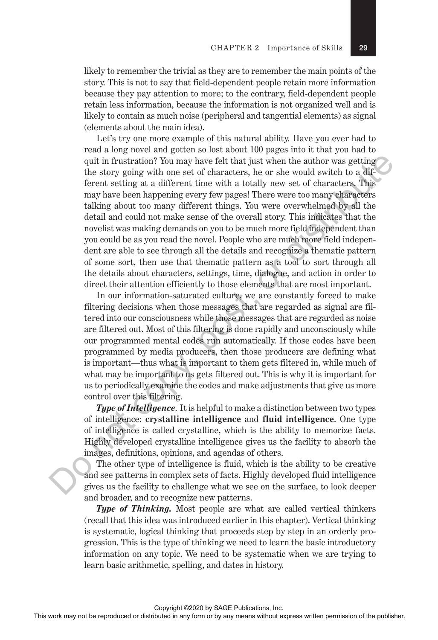likely to remember the trivial as they are to remember the main points of the story. This is not to say that field-dependent people retain more information because they pay attention to more; to the contrary, field-dependent people retain less information, because the information is not organized well and is likely to contain as much noise (peripheral and tangential elements) as signal (elements about the main idea).

Let's try one more example of this natural ability. Have you ever had to read a long novel and gotten so lost about 100 pages into it that you had to quit in frustration? You may have felt that just when the author was getting the story going with one set of characters, he or she would switch to a different setting at a different time with a totally new set of characters. This may have been happening every few pages! There were too many characters talking about too many different things. You were overwhelmed by all the detail and could not make sense of the overall story. This indicates that the novelist was making demands on you to be much more field independent than you could be as you read the novel. People who are much more field independent are able to see through all the details and recognize a thematic pattern of some sort, then use that thematic pattern as a tool to sort through all the details about characters, settings, time, dialogue, and action in order to direct their attention efficiently to those elements that are most important. quit in frustration? You may have felt that just when the author was getting<br>the story going with one set of characters, a ho co show would switch to a different setting at a different time with a totally new set of chara

In our information-saturated culture, we are constantly forced to make filtering decisions when those messages that are regarded as signal are filtered into our consciousness while those messages that are regarded as noise are filtered out. Most of this filtering is done rapidly and unconsciously while our programmed mental codes run automatically. If those codes have been programmed by media producers, then those producers are defining what is important—thus what is important to them gets filtered in, while much of what may be important to us gets filtered out. This is why it is important for us to periodically examine the codes and make adjustments that give us more control over this filtering.

*Type of Intelligence.* It is helpful to make a distinction between two types of intelligence: **crystalline intelligence** and **fluid intelligence**. One type of intelligence is called crystalline, which is the ability to memorize facts. Highly developed crystalline intelligence gives us the facility to absorb the images, definitions, opinions, and agendas of others.

The other type of intelligence is fluid, which is the ability to be creative and see patterns in complex sets of facts. Highly developed fluid intelligence gives us the facility to challenge what we see on the surface, to look deeper and broader, and to recognize new patterns.

*Type of Thinking.* Most people are what are called vertical thinkers (recall that this idea was introduced earlier in this chapter). Vertical thinking is systematic, logical thinking that proceeds step by step in an orderly progression. This is the type of thinking we need to learn the basic introductory information on any topic. We need to be systematic when we are trying to learn basic arithmetic, spelling, and dates in history.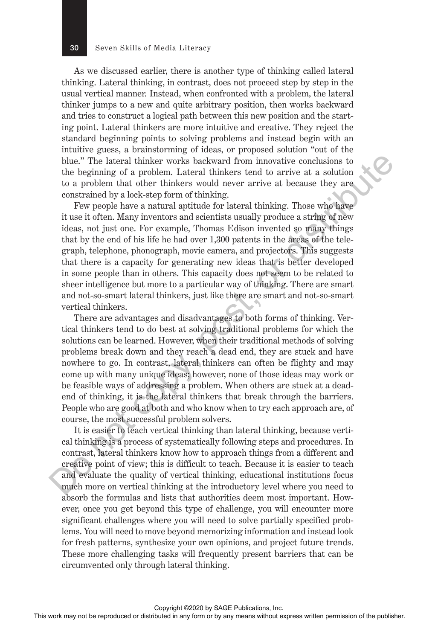As we discussed earlier, there is another type of thinking called lateral thinking. Lateral thinking, in contrast, does not proceed step by step in the usual vertical manner. Instead, when confronted with a problem, the lateral thinker jumps to a new and quite arbitrary position, then works backward and tries to construct a logical path between this new position and the starting point. Lateral thinkers are more intuitive and creative. They reject the standard beginning points to solving problems and instead begin with an intuitive guess, a brainstorming of ideas, or proposed solution "out of the blue." The lateral thinker works backward from innovative conclusions to the beginning of a problem. Lateral thinkers tend to arrive at a solution to a problem that other thinkers would never arrive at because they are constrained by a lock-step form of thinking.

Few people have a natural aptitude for lateral thinking. Those who have it use it often. Many inventors and scientists usually produce a string of new ideas, not just one. For example, Thomas Edison invented so many things that by the end of his life he had over 1,300 patents in the areas of the telegraph, telephone, phonograph, movie camera, and projectors. This suggests that there is a capacity for generating new ideas that is better developed in some people than in others. This capacity does not seem to be related to sheer intelligence but more to a particular way of thinking. There are smart and not-so-smart lateral thinkers, just like there are smart and not-so-smart vertical thinkers. blue." The lateral thinker works backward from innovative conclusions to to a proluming of a problem. Lateral thinkers trould on arrive at a solution position is depoided by a lock-step form of thinking. Those who have co

There are advantages and disadvantages to both forms of thinking. Vertical thinkers tend to do best at solving traditional problems for which the solutions can be learned. However, when their traditional methods of solving problems break down and they reach a dead end, they are stuck and have nowhere to go. In contrast, lateral thinkers can often be flighty and may come up with many unique ideas; however, none of those ideas may work or be feasible ways of addressing a problem. When others are stuck at a deadend of thinking, it is the lateral thinkers that break through the barriers. People who are good at both and who know when to try each approach are, of course, the most successful problem solvers.

It is easier to teach vertical thinking than lateral thinking, because vertical thinking is a process of systematically following steps and procedures. In contrast, lateral thinkers know how to approach things from a different and creative point of view; this is difficult to teach. Because it is easier to teach and evaluate the quality of vertical thinking, educational institutions focus much more on vertical thinking at the introductory level where you need to absorb the formulas and lists that authorities deem most important. However, once you get beyond this type of challenge, you will encounter more significant challenges where you will need to solve partially specified problems. You will need to move beyond memorizing information and instead look for fresh patterns, synthesize your own opinions, and project future trends. These more challenging tasks will frequently present barriers that can be circumvented only through lateral thinking.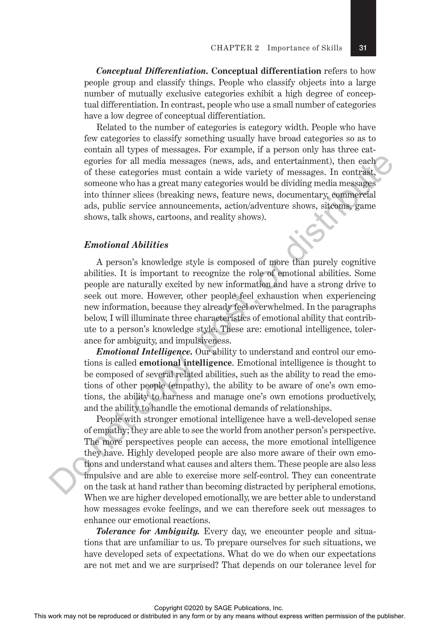*Conceptual Differentiation.* **Conceptual differentiation** refers to how people group and classify things. People who classify objects into a large number of mutually exclusive categories exhibit a high degree of conceptual differentiation. In contrast, people who use a small number of categories have a low degree of conceptual differentiation.

Related to the number of categories is category width. People who have few categories to classify something usually have broad categories so as to contain all types of messages. For example, if a person only has three categories for all media messages (news, ads, and entertainment), then each of these categories must contain a wide variety of messages. In contrast, someone who has a great many categories would be dividing media messages into thinner slices (breaking news, feature news, documentary, commercial ads, public service announcements, action/adventure shows, sitcoms, game shows, talk shows, cartoons, and reality shows).

# *Emotional Abilities*

A person's knowledge style is composed of more than purely cognitive abilities. It is important to recognize the role of emotional abilities. Some people are naturally excited by new information and have a strong drive to seek out more. However, other people feel exhaustion when experiencing new information, because they already feel overwhelmed. In the paragraphs below, I will illuminate three characteristics of emotional ability that contribute to a person's knowledge style. These are: emotional intelligence, tolerance for ambiguity, and impulsiveness. egories for all media messages (news, ads, and entertainment), then each<br>of these categories would be available variety of messages. In contrast,<br>someone who has a great many categories would be dividing media messages<br>in

*Emotional Intelligence.* Our ability to understand and control our emotions is called **emotional intelligence**. Emotional intelligence is thought to be composed of several related abilities, such as the ability to read the emotions of other people (empathy), the ability to be aware of one's own emotions, the ability to harness and manage one's own emotions productively, and the ability to handle the emotional demands of relationships.

People with stronger emotional intelligence have a well-developed sense of empathy; they are able to see the world from another person's perspective. The more perspectives people can access, the more emotional intelligence they have. Highly developed people are also more aware of their own emotions and understand what causes and alters them. These people are also less impulsive and are able to exercise more self-control. They can concentrate on the task at hand rather than becoming distracted by peripheral emotions. When we are higher developed emotionally, we are better able to understand how messages evoke feelings, and we can therefore seek out messages to enhance our emotional reactions.

**Tolerance for Ambiguity.** Every day, we encounter people and situations that are unfamiliar to us. To prepare ourselves for such situations, we have developed sets of expectations. What do we do when our expectations are not met and we are surprised? That depends on our tolerance level for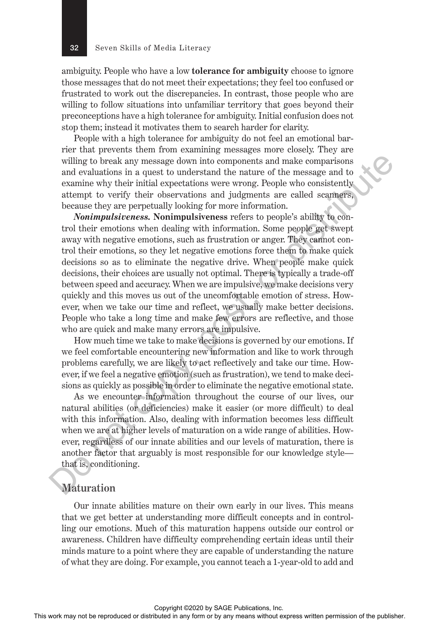ambiguity. People who have a low **tolerance for ambiguity** choose to ignore those messages that do not meet their expectations; they feel too confused or frustrated to work out the discrepancies. In contrast, those people who are willing to follow situations into unfamiliar territory that goes beyond their preconceptions have a high tolerance for ambiguity. Initial confusion does not stop them; instead it motivates them to search harder for clarity.

People with a high tolerance for ambiguity do not feel an emotional barrier that prevents them from examining messages more closely. They are willing to break any message down into components and make comparisons and evaluations in a quest to understand the nature of the message and to examine why their initial expectations were wrong. People who consistently attempt to verify their observations and judgments are called scanners, because they are perpetually looking for more information.

*Nonimpulsiveness.* **Nonimpulsiveness** refers to people's ability to control their emotions when dealing with information. Some people get swept away with negative emotions, such as frustration or anger. They cannot control their emotions, so they let negative emotions force them to make quick decisions so as to eliminate the negative drive. When people make quick decisions, their choices are usually not optimal. There is typically a trade-off between speed and accuracy. When we are impulsive, we make decisions very quickly and this moves us out of the uncomfortable emotion of stress. However, when we take our time and reflect, we usually make better decisions. People who take a long time and make few errors are reflective, and those who are quick and make many errors are impulsive. willing to break any message down into components and make comparisons and cavalatoins in a quest to understand the nature of the message and to constraint why their initial expectations were wrong. People who consistentl

How much time we take to make decisions is governed by our emotions. If we feel comfortable encountering new information and like to work through problems carefully, we are likely to act reflectively and take our time. However, if we feel a negative emotion (such as frustration), we tend to make decisions as quickly as possible in order to eliminate the negative emotional state.

As we encounter information throughout the course of our lives, our natural abilities (or deficiencies) make it easier (or more difficult) to deal with this information. Also, dealing with information becomes less difficult when we are at higher levels of maturation on a wide range of abilities. However, regardless of our innate abilities and our levels of maturation, there is another factor that arguably is most responsible for our knowledge style that is, conditioning.

# **Maturation**

Our innate abilities mature on their own early in our lives. This means that we get better at understanding more difficult concepts and in controlling our emotions. Much of this maturation happens outside our control or awareness. Children have difficulty comprehending certain ideas until their minds mature to a point where they are capable of understanding the nature of what they are doing. For example, you cannot teach a 1-year-old to add and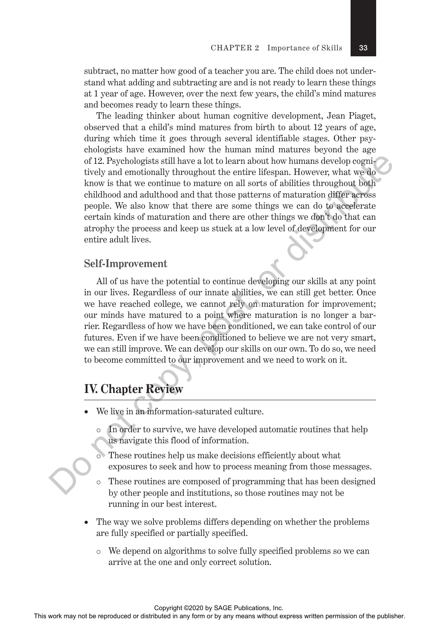subtract, no matter how good of a teacher you are. The child does not understand what adding and subtracting are and is not ready to learn these things at 1 year of age. However, over the next few years, the child's mind matures and becomes ready to learn these things.

The leading thinker about human cognitive development, Jean Piaget, observed that a child's mind matures from birth to about 12 years of age, during which time it goes through several identifiable stages. Other psychologists have examined how the human mind matures beyond the age of 12. Psychologists still have a lot to learn about how humans develop cognitively and emotionally throughout the entire lifespan. However, what we do know is that we continue to mature on all sorts of abilities throughout both childhood and adulthood and that those patterns of maturation differ across people. We also know that there are some things we can do to accelerate certain kinds of maturation and there are other things we don't do that can atrophy the process and keep us stuck at a low level of development for our entire adult lives. of 12. Psychologists still have a lot to learn about how humans develop eognity<br>tively and emotionally throughout the entire lifespan. However, what we<br>be then to mature on all sorts of abilities throughout both<br>childred

# **Self-Improvement**

All of us have the potential to continue developing our skills at any point in our lives. Regardless of our innate abilities, we can still get better. Once we have reached college, we cannot rely on maturation for improvement; our minds have matured to a point where maturation is no longer a barrier. Regardless of how we have been conditioned, we can take control of our futures. Even if we have been conditioned to believe we are not very smart, we can still improve. We can develop our skills on our own. To do so, we need to become committed to our improvement and we need to work on it.

# **IV. Chapter Review**

- We live in an information-saturated culture.
	- $\circ$  In order to survive, we have developed automatic routines that help us navigate this flood of information.
	- $\circ$  These routines help us make decisions efficiently about what exposures to seek and how to process meaning from those messages.
	- $\circ$  These routines are composed of programming that has been designed by other people and institutions, so those routines may not be running in our best interest.
- The way we solve problems differs depending on whether the problems are fully specified or partially specified.
	- { We depend on algorithms to solve fully specified problems so we can arrive at the one and only correct solution.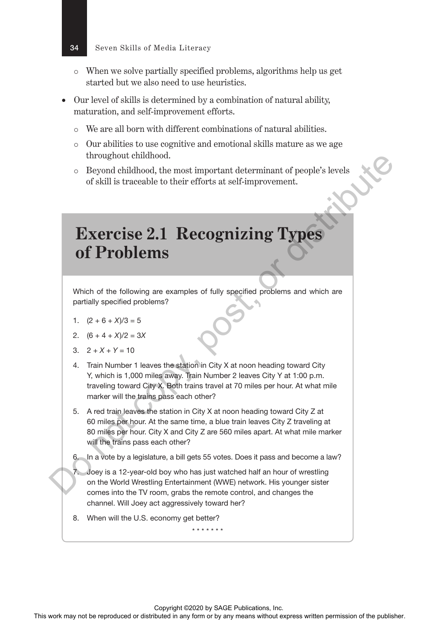- { When we solve partially specified problems, algorithms help us get started but we also need to use heuristics.
- Our level of skills is determined by a combination of natural ability, maturation, and self-improvement efforts.
	- $\circ$  We are all born with different combinations of natural abilities.
	- $\circ$  Our abilities to use cognitive and emotional skills mature as we age throughout childhood.
	- $\circ$  Beyond childhood, the most important determinant of people's levels of skill is traceable to their efforts at self-improvement.

# **Exercise 2.1 Recognizing Types of Problems**

Which of the following are examples of fully specified problems and which are partially specified problems?

- 1.  $(2 + 6 + X)/3 = 5$
- 2.  $(6 + 4 + X)/2 = 3X$
- 3.  $2 + X + Y = 10$
- 4. Train Number 1 leaves the station in City X at noon heading toward City Y, which is 1,000 miles away. Train Number 2 leaves City Y at 1:00 p.m. traveling toward City X. Both trains travel at 70 miles per hour. At what mile marker will the trains pass each other?
- 5. A red train leaves the station in City X at noon heading toward City Z at 60 miles per hour. At the same time, a blue train leaves City Z traveling at 80 miles per hour. City X and City Z are 560 miles apart. At what mile marker will the trains pass each other? throughout childhood,<br>
o Beyond childhood, the most important determinant of people's levels<br>
of skill is traccable to their efforts at self-improvement.<br> **EXENCISE 2.1 Recognizing Types**<br> **Of Problems**<br>
Which of the foll
	- 6. In a vote by a legislature, a bill gets 55 votes. Does it pass and become a law?

Joey is a 12-year-old boy who has just watched half an hour of wrestling on the World Wrestling Entertainment (WWE) network. His younger sister comes into the TV room, grabs the remote control, and changes the channel. Will Joey act aggressively toward her?

8. When will the U.S. economy get better?

\* \* \* \* \* \* \*